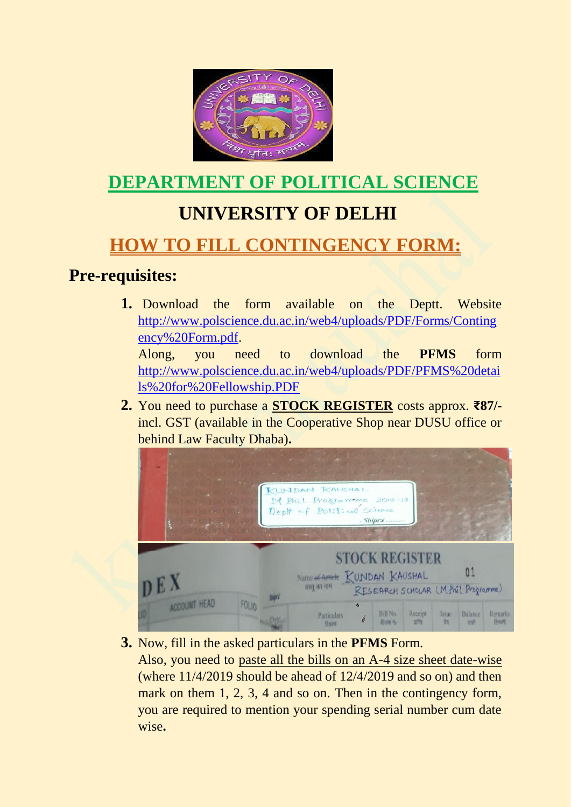

# **DEPARTMENT OF POLITICAL SCIENCE**

## **UNIVERSITY OF DELHI**

## **HOW TO FILL CONTINGENCY FORM:**

#### **Pre-requisites:**

1. Download the form available on the Deptt. Website [http://www.polscience.du.ac.in/web4/uploads/PDF/Forms/Conting](http://www.polscience.du.ac.in/web4/uploads/PDF/Forms/Contingency%20Form.pdf) [ency%20Form.pdf.](http://www.polscience.du.ac.in/web4/uploads/PDF/Forms/Contingency%20Form.pdf)

Along, you need to download the **PFMS** form [http://www.polscience.du.ac.in/web4/uploads/PDF/PFMS%20detai](http://www.polscience.du.ac.in/web4/uploads/PDF/PFMS%20details%20for%20Fellowship.PDF) [ls%20for%20Fellowship.PDF](http://www.polscience.du.ac.in/web4/uploads/PDF/PFMS%20details%20for%20Fellowship.PDF)

**2.** You need to purchase a **STOCK REGISTER** costs approx. **₹87/** incl. GST (available in the Cooperative Shop near DUSU office or behind Law Faculty Dhaba)**.** 



**3.** Now, fill in the asked particulars in the **PFMS** Form.

Also, you need to paste all the bills on an A-4 size sheet date-wise (where 11/4/2019 should be ahead of 12/4/2019 and so on) and then mark on them 1, 2, 3, 4 and so on. Then in the contingency form, you are required to mention your spending serial number cum date wise**.**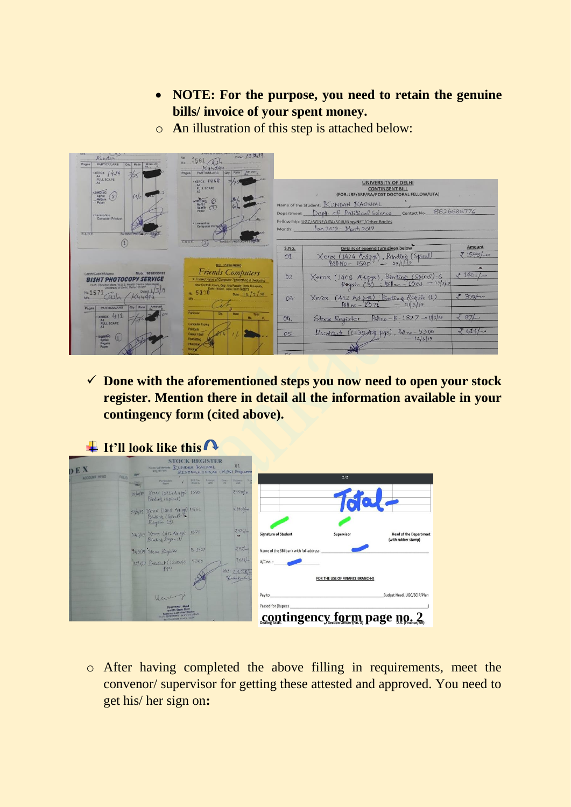- **NOTE: For the purpose, you need to retain the genuine bills/ invoice of your spent money.**
- o **A**n illustration of this step is attached below:



✓ **Done with the aforementioned steps you now need to open your stock register. Mention there in detail all the information available in your contingency form (cited above).**

|                                                      |                                 |                                                   | <b>STOCK REGISTER</b><br>01<br>Name of Article KUNDAN KAUSHAL<br><b>HELL OR THE</b><br>RESERVENT SCHOLAR (M.Phil Programme |  |                  |            |                                                                                      |          |              | DEX |  |  |
|------------------------------------------------------|---------------------------------|---------------------------------------------------|----------------------------------------------------------------------------------------------------------------------------|--|------------------|------------|--------------------------------------------------------------------------------------|----------|--------------|-----|--|--|
|                                                      | 2/2                             |                                                   | Long. Thisney<br>with.                                                                                                     |  | Bill No. Receipt |            | Particulars                                                                          | $F0U0 -$ | ACCOUNT HEAD |     |  |  |
|                                                      |                                 |                                                   | 21548%                                                                                                                     |  |                  |            | 29/11/19 Xerox (1/24/4-4 pp) 1540                                                    |          |              |     |  |  |
|                                                      |                                 |                                                   | ₹1401/-0                                                                                                                   |  |                  |            | 13/2/19 Xerox (1468 At pp) 1561<br>Binding (Spinel)<br>Registor (3)                  |          |              |     |  |  |
| <b>Head of the Department</b><br>(with rubber stamp) | Supervisor                      | <b>Signature of Student</b>                       | $\frac{3379}{40}$                                                                                                          |  |                  |            | 01/3/19 Xerex (412 44 pg) 1571<br>Exiding Regain (1)                                 |          |              |     |  |  |
|                                                      |                                 | Name of the SBI bank with full address:           | $787 - 9$                                                                                                                  |  |                  | $9 - 1827$ | 91/3/19 Stock Register                                                               |          |              |     |  |  |
|                                                      | FOR THE USE OF FINANCE BRANCH-X | $A/C$ no.:                                        | 36!4/4<br>$rac{1}{24.0291}$                                                                                                |  |                  |            | 12/3/19 Drin Out (123044 5300)                                                       |          |              |     |  |  |
|                                                      |                                 |                                                   |                                                                                                                            |  |                  |            |                                                                                      |          |              |     |  |  |
| Budget Head, UGC/SCIR/Plan                           |                                 | Pay to                                            |                                                                                                                            |  |                  |            | Very                                                                                 |          |              |     |  |  |
|                                                      |                                 | Passed for (Rupees<br>contingency form page no. 2 |                                                                                                                            |  |                  |            | <b>Fastruttzuer / Head</b><br>world's Graph Steph<br>Department of Political Science |          |              |     |  |  |

o After having completed the above filling in requirements, meet the convenor/ supervisor for getting these attested and approved. You need to get his/ her sign on**:**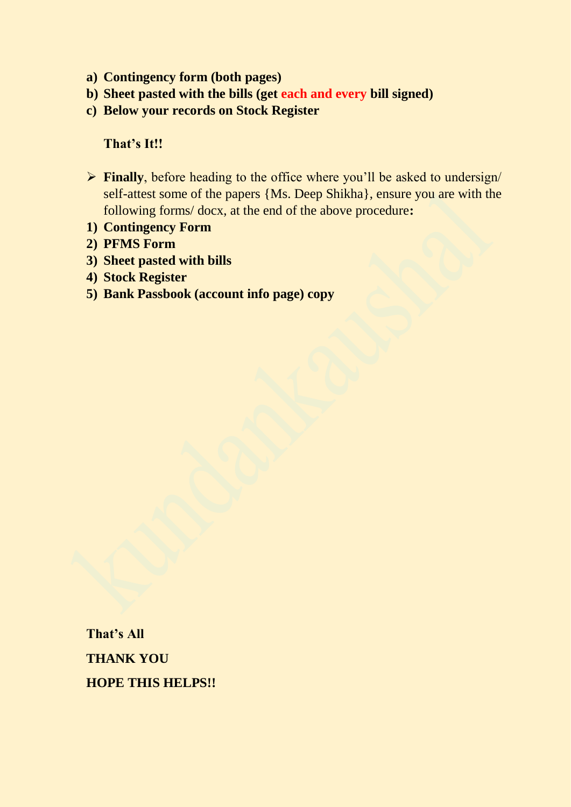- **a) Contingency form (both pages)**
- **b) Sheet pasted with the bills (get each and every bill signed)**
- **c) Below your records on Stock Register**

#### **That's It!!**

- ➢ **Finally**, before heading to the office where you'll be asked to undersign/ self-attest some of the papers {Ms. Deep Shikha}, ensure you are with the following forms/ docx, at the end of the above procedure**:**
- **1) Contingency Form**
- **2) PFMS Form**
- **3) Sheet pasted with bills**
- **4) Stock Register**
- **5) Bank Passbook (account info page) copy**

**That's All THANK YOU HOPE THIS HELPS!!**